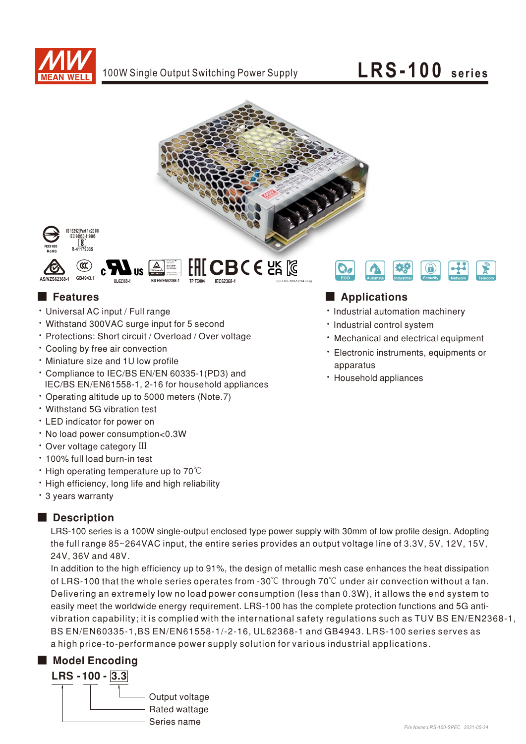

## LRS-100 series



IFC62368-



GR49431

#### **Features**

- · Universal AC input / Full range
- Withstand 300VAC surge input for 5 second
- \* Protections: Short circuit / Overload / Over voltage
- Cooling by free air convection
- · Miniature size and 1U low profile
- \* Compliance to IEC/BS EN/EN 60335-1(PD3) and IEC/BS EN/EN61558-1, 2-16 for household appliances
- Operating altitude up to 5000 meters (Note.7)
- · Withstand 5G vibration test
- LED indicator for power on
- . No load power consumption<0.3W
- · Over voltage category III
- · 100% full load burn-in test
- $\cdot$  High operating temperature up to 70 $\degree$ C
- . High efficiency, long life and high reliability
- \* 3 years warranty

#### Description

LRS-100 series is a 100W single-output enclosed type power supply with 30mm of low profile design. Adopting the full range 85~264VAC input, the entire series provides an output voltage line of 3.3V, 5V, 12V, 15V, 24V.36V and 48V.

In addition to the high efficiency up to 91%, the design of metallic mesh case enhances the heat dissipation of LRS-100 that the whole series operates from -30 $\degree$ C through 70 $\degree$ C under air convection without a fan. Delivering an extremely low no load power consumption (less than 0.3W), it allows the end system to easily meet the worldwide energy requirement. LRS-100 has the complete protection functions and 5G antivibration capability; it is complied with the international safety regulations such as TUV BS EN/EN2368-1, BS EN/EN60335-1, BS EN/EN61558-1/-2-16, UL62368-1 and GB4943. LRS-100 series serves as a high price-to-performance power supply solution for various industrial applications.

## Model Encoding





### Applications

- · Industrial automation machinery
- · Industrial control system
- · Mechanical and electrical equipment
- · Electronic instruments, equipments or apparatus
- · Household appliances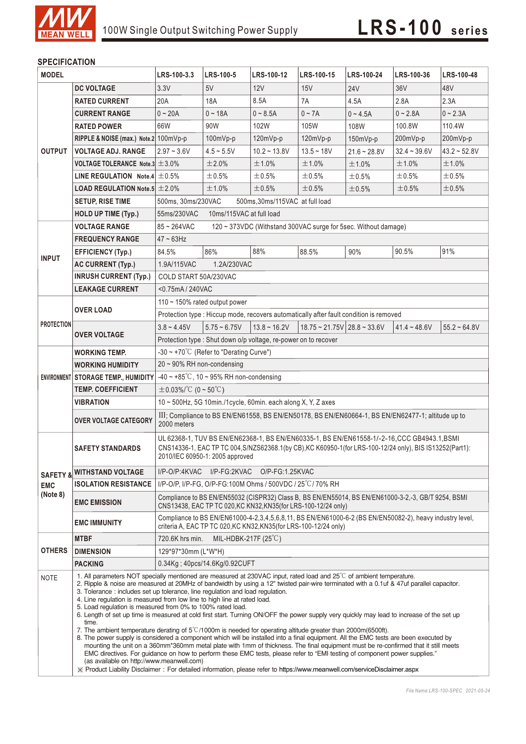

#### **SPECIFICATION**

| <b>MODEL</b>           |                                                                                                                                                                                                                                                                                                                                                                                                                                                                                                                                                                                                                                                                                                                                                                                                                                                                                                                                                                                                                                                                                                                                                                                                                                              | LRS-100-3.3                                                                                                                                                                                                                                | <b>LRS-100-5</b>  | LRS-100-12     | <b>LRS-100-15</b>                           | LRS-100-24     | LRS-100-36     | LRS-100-48     |  |  |
|------------------------|----------------------------------------------------------------------------------------------------------------------------------------------------------------------------------------------------------------------------------------------------------------------------------------------------------------------------------------------------------------------------------------------------------------------------------------------------------------------------------------------------------------------------------------------------------------------------------------------------------------------------------------------------------------------------------------------------------------------------------------------------------------------------------------------------------------------------------------------------------------------------------------------------------------------------------------------------------------------------------------------------------------------------------------------------------------------------------------------------------------------------------------------------------------------------------------------------------------------------------------------|--------------------------------------------------------------------------------------------------------------------------------------------------------------------------------------------------------------------------------------------|-------------------|----------------|---------------------------------------------|----------------|----------------|----------------|--|--|
|                        | <b>DC VOLTAGE</b>                                                                                                                                                                                                                                                                                                                                                                                                                                                                                                                                                                                                                                                                                                                                                                                                                                                                                                                                                                                                                                                                                                                                                                                                                            | 3.3V                                                                                                                                                                                                                                       | 5V                | 12V            | 15V                                         | <b>24V</b>     | 36V            | 48V            |  |  |
|                        | <b>RATED CURRENT</b>                                                                                                                                                                                                                                                                                                                                                                                                                                                                                                                                                                                                                                                                                                                                                                                                                                                                                                                                                                                                                                                                                                                                                                                                                         | 20A                                                                                                                                                                                                                                        | 18A               | 8.5A           | 7A                                          | 4.5A           | 2.8A           | 2.3A           |  |  |
|                        | <b>CURRENT RANGE</b>                                                                                                                                                                                                                                                                                                                                                                                                                                                                                                                                                                                                                                                                                                                                                                                                                                                                                                                                                                                                                                                                                                                                                                                                                         | $0 - 20A$                                                                                                                                                                                                                                  | $0 - 18A$         | $0 - 8.5A$     | $0 - 7A$                                    | $0 - 4.5A$     | $0 - 2.8A$     | $0 - 2.3A$     |  |  |
|                        | <b>RATED POWER</b>                                                                                                                                                                                                                                                                                                                                                                                                                                                                                                                                                                                                                                                                                                                                                                                                                                                                                                                                                                                                                                                                                                                                                                                                                           | 66W                                                                                                                                                                                                                                        | 90W               | 102W           | 105W                                        | 108W           | 100.8W         | 110.4W         |  |  |
|                        | RIPPLE & NOISE (max.) Note.2 100mVp-p                                                                                                                                                                                                                                                                                                                                                                                                                                                                                                                                                                                                                                                                                                                                                                                                                                                                                                                                                                                                                                                                                                                                                                                                        |                                                                                                                                                                                                                                            | 100mVp-p          | $120mVp-p$     | 120mVp-p                                    | 150mVp-p       | 200mVp-p       | 200mVp-p       |  |  |
| <b>OUTPUT</b>          | <b>VOLTAGE ADJ. RANGE</b>                                                                                                                                                                                                                                                                                                                                                                                                                                                                                                                                                                                                                                                                                                                                                                                                                                                                                                                                                                                                                                                                                                                                                                                                                    | $2.97 - 3.6V$                                                                                                                                                                                                                              | $4.5 - 5.5V$      | $10.2 - 13.8V$ | $13.5 - 18V$                                | $21.6 - 28.8V$ | $32.4 - 39.6V$ | $43.2 - 52.8V$ |  |  |
|                        | VOLTAGE TOLERANCE Note.3 $\pm$ 3.0%                                                                                                                                                                                                                                                                                                                                                                                                                                                                                                                                                                                                                                                                                                                                                                                                                                                                                                                                                                                                                                                                                                                                                                                                          |                                                                                                                                                                                                                                            | ±2.0%             | ±1.0%          | ±1.0%                                       | ±1.0%          | ±1.0%          | ±1.0%          |  |  |
|                        | LINE REGULATION Note.4 $\pm$ 0.5%                                                                                                                                                                                                                                                                                                                                                                                                                                                                                                                                                                                                                                                                                                                                                                                                                                                                                                                                                                                                                                                                                                                                                                                                            |                                                                                                                                                                                                                                            | ±0.5%             | ±0.5%          | ±0.5%                                       | ±0.5%          | ±0.5%          | ±0.5%          |  |  |
|                        | <b>LOAD REGULATION Note.5 <math>\pm 2.0\%</math></b>                                                                                                                                                                                                                                                                                                                                                                                                                                                                                                                                                                                                                                                                                                                                                                                                                                                                                                                                                                                                                                                                                                                                                                                         |                                                                                                                                                                                                                                            | ±1.0%             | ±0.5%          | $\pm 0.5\%$                                 | $\pm$ 0.5%     | ±0.5%          | ±0.5%          |  |  |
|                        | <b>SETUP, RISE TIME</b>                                                                                                                                                                                                                                                                                                                                                                                                                                                                                                                                                                                                                                                                                                                                                                                                                                                                                                                                                                                                                                                                                                                                                                                                                      | 500ms, 30ms/230VAC<br>500ms, 30ms/115VAC at full load                                                                                                                                                                                      |                   |                |                                             |                |                |                |  |  |
|                        | <b>HOLD UP TIME (Typ.)</b>                                                                                                                                                                                                                                                                                                                                                                                                                                                                                                                                                                                                                                                                                                                                                                                                                                                                                                                                                                                                                                                                                                                                                                                                                   | 55ms/230VAC<br>10ms/115VAC at full load                                                                                                                                                                                                    |                   |                |                                             |                |                |                |  |  |
|                        | <b>VOLTAGE RANGE</b>                                                                                                                                                                                                                                                                                                                                                                                                                                                                                                                                                                                                                                                                                                                                                                                                                                                                                                                                                                                                                                                                                                                                                                                                                         | 85~264VAC<br>120 ~ 373VDC (Withstand 300VAC surge for 5sec. Without damage)                                                                                                                                                                |                   |                |                                             |                |                |                |  |  |
| <b>INPUT</b>           | <b>FREQUENCY RANGE</b>                                                                                                                                                                                                                                                                                                                                                                                                                                                                                                                                                                                                                                                                                                                                                                                                                                                                                                                                                                                                                                                                                                                                                                                                                       | $47 - 63$ Hz                                                                                                                                                                                                                               |                   |                |                                             |                |                |                |  |  |
|                        | <b>EFFICIENCY (Typ.)</b>                                                                                                                                                                                                                                                                                                                                                                                                                                                                                                                                                                                                                                                                                                                                                                                                                                                                                                                                                                                                                                                                                                                                                                                                                     | 84.5%                                                                                                                                                                                                                                      | 86%               | 88%            | 88.5%                                       | 90%            | 90.5%          | 91%            |  |  |
|                        | <b>AC CURRENT (Typ.)</b>                                                                                                                                                                                                                                                                                                                                                                                                                                                                                                                                                                                                                                                                                                                                                                                                                                                                                                                                                                                                                                                                                                                                                                                                                     | 1.9A/115VAC<br>1.2A/230VAC                                                                                                                                                                                                                 |                   |                |                                             |                |                |                |  |  |
|                        | <b>INRUSH CURRENT (Typ.)</b>                                                                                                                                                                                                                                                                                                                                                                                                                                                                                                                                                                                                                                                                                                                                                                                                                                                                                                                                                                                                                                                                                                                                                                                                                 | COLD START 50A/230VAC                                                                                                                                                                                                                      |                   |                |                                             |                |                |                |  |  |
|                        | <b>LEAKAGE CURRENT</b>                                                                                                                                                                                                                                                                                                                                                                                                                                                                                                                                                                                                                                                                                                                                                                                                                                                                                                                                                                                                                                                                                                                                                                                                                       | <0.75mA/240VAC                                                                                                                                                                                                                             |                   |                |                                             |                |                |                |  |  |
| <b>PROTECTION</b>      | <b>OVER LOAD</b>                                                                                                                                                                                                                                                                                                                                                                                                                                                                                                                                                                                                                                                                                                                                                                                                                                                                                                                                                                                                                                                                                                                                                                                                                             | 110 $\sim$ 150% rated output power                                                                                                                                                                                                         |                   |                |                                             |                |                |                |  |  |
|                        |                                                                                                                                                                                                                                                                                                                                                                                                                                                                                                                                                                                                                                                                                                                                                                                                                                                                                                                                                                                                                                                                                                                                                                                                                                              | Protection type : Hiccup mode, recovers automatically after fault condition is removed                                                                                                                                                     |                   |                |                                             |                |                |                |  |  |
|                        |                                                                                                                                                                                                                                                                                                                                                                                                                                                                                                                                                                                                                                                                                                                                                                                                                                                                                                                                                                                                                                                                                                                                                                                                                                              | $3.8 - 4.45V$                                                                                                                                                                                                                              | $5.75 \sim 6.75V$ | $13.8 - 16.2V$ | $18.75 \approx 21.75V$ 28.8 $\approx 33.6V$ |                | $41.4 - 48.6V$ | $55.2 - 64.8V$ |  |  |
|                        | <b>OVER VOLTAGE</b>                                                                                                                                                                                                                                                                                                                                                                                                                                                                                                                                                                                                                                                                                                                                                                                                                                                                                                                                                                                                                                                                                                                                                                                                                          | Protection type: Shut down o/p voltage, re-power on to recover                                                                                                                                                                             |                   |                |                                             |                |                |                |  |  |
|                        | <b>WORKING TEMP.</b>                                                                                                                                                                                                                                                                                                                                                                                                                                                                                                                                                                                                                                                                                                                                                                                                                                                                                                                                                                                                                                                                                                                                                                                                                         | $-30 \sim +70^{\circ}$ C (Refer to "Derating Curve")                                                                                                                                                                                       |                   |                |                                             |                |                |                |  |  |
|                        | <b>WORKING HUMIDITY</b>                                                                                                                                                                                                                                                                                                                                                                                                                                                                                                                                                                                                                                                                                                                                                                                                                                                                                                                                                                                                                                                                                                                                                                                                                      | $20 \sim 90\%$ RH non-condensing                                                                                                                                                                                                           |                   |                |                                             |                |                |                |  |  |
|                        | ENVIRONMENT STORAGE TEMP., HUMIDITY                                                                                                                                                                                                                                                                                                                                                                                                                                                                                                                                                                                                                                                                                                                                                                                                                                                                                                                                                                                                                                                                                                                                                                                                          | $-40 \sim +85^{\circ}$ C, 10 ~ 95% RH non-condensing                                                                                                                                                                                       |                   |                |                                             |                |                |                |  |  |
|                        | <b>TEMP. COEFFICIENT</b>                                                                                                                                                                                                                                                                                                                                                                                                                                                                                                                                                                                                                                                                                                                                                                                                                                                                                                                                                                                                                                                                                                                                                                                                                     | $\pm$ 0.03%/°C (0~50°C)                                                                                                                                                                                                                    |                   |                |                                             |                |                |                |  |  |
|                        | <b>VIBRATION</b>                                                                                                                                                                                                                                                                                                                                                                                                                                                                                                                                                                                                                                                                                                                                                                                                                                                                                                                                                                                                                                                                                                                                                                                                                             | $10 \sim 500$ Hz, 5G 10min./1cycle, 60min. each along X, Y, Z axes                                                                                                                                                                         |                   |                |                                             |                |                |                |  |  |
|                        | <b>OVER VOLTAGE CATEGORY</b>                                                                                                                                                                                                                                                                                                                                                                                                                                                                                                                                                                                                                                                                                                                                                                                                                                                                                                                                                                                                                                                                                                                                                                                                                 | III; Compliance to BS EN/EN61558, BS EN/EN50178, BS EN/EN60664-1, BS EN/EN62477-1; altitude up to<br>2000 meters                                                                                                                           |                   |                |                                             |                |                |                |  |  |
| <b>EMC</b><br>(Note 8) | <b>SAFETY STANDARDS</b>                                                                                                                                                                                                                                                                                                                                                                                                                                                                                                                                                                                                                                                                                                                                                                                                                                                                                                                                                                                                                                                                                                                                                                                                                      | UL 62368-1, TUV BS EN/EN62368-1, BS EN/EN60335-1, BS EN/EN61558-1/-2-16, CCC GB4943.1, BSMI<br>CNS14336-1, EAC TP TC 004, S/NZS62368.1(by CB), KC K60950-1(for LRS-100-12/24 only), BIS IS13252(Part1):<br>2010/IEC 60950-1: 2005 approved |                   |                |                                             |                |                |                |  |  |
|                        | <b>SAFETY &amp; WITHSTAND VOLTAGE</b>                                                                                                                                                                                                                                                                                                                                                                                                                                                                                                                                                                                                                                                                                                                                                                                                                                                                                                                                                                                                                                                                                                                                                                                                        | I/P-O/P:4KVAC I/P-FG:2KVAC O/P-FG:1.25KVAC                                                                                                                                                                                                 |                   |                |                                             |                |                |                |  |  |
|                        | <b>ISOLATION RESISTANCE</b>                                                                                                                                                                                                                                                                                                                                                                                                                                                                                                                                                                                                                                                                                                                                                                                                                                                                                                                                                                                                                                                                                                                                                                                                                  | I/P-O/P, I/P-FG, O/P-FG:100M Ohms / 500VDC / 25°C/70% RH                                                                                                                                                                                   |                   |                |                                             |                |                |                |  |  |
|                        | <b>EMC EMISSION</b>                                                                                                                                                                                                                                                                                                                                                                                                                                                                                                                                                                                                                                                                                                                                                                                                                                                                                                                                                                                                                                                                                                                                                                                                                          | Compliance to BS EN/EN55032 (CISPR32) Class B, BS EN/EN55014, BS EN/EN61000-3-2,-3, GB/T 9254, BSMI<br>CNS13438, EAC TP TC 020, KC KN32, KN35(for LRS-100-12/24 only)                                                                      |                   |                |                                             |                |                |                |  |  |
|                        | <b>EMC IMMUNITY</b>                                                                                                                                                                                                                                                                                                                                                                                                                                                                                                                                                                                                                                                                                                                                                                                                                                                                                                                                                                                                                                                                                                                                                                                                                          | Compliance to BS EN/EN61000-4-2,3,4,5,6,8,11, BS EN/EN61000-6-2 (BS EN/EN50082-2), heavy industry level,<br>criteria A, EAC TP TC 020, KC KN32, KN35 (for LRS-100-12/24 only)                                                              |                   |                |                                             |                |                |                |  |  |
| <b>OTHERS</b>          | <b>MTBF</b>                                                                                                                                                                                                                                                                                                                                                                                                                                                                                                                                                                                                                                                                                                                                                                                                                                                                                                                                                                                                                                                                                                                                                                                                                                  | MIL-HDBK-217F $(25^{\circ}C)$<br>720.6K hrs min.                                                                                                                                                                                           |                   |                |                                             |                |                |                |  |  |
|                        | <b>DIMENSION</b>                                                                                                                                                                                                                                                                                                                                                                                                                                                                                                                                                                                                                                                                                                                                                                                                                                                                                                                                                                                                                                                                                                                                                                                                                             | 129*97*30mm (L*W*H)                                                                                                                                                                                                                        |                   |                |                                             |                |                |                |  |  |
|                        | <b>PACKING</b>                                                                                                                                                                                                                                                                                                                                                                                                                                                                                                                                                                                                                                                                                                                                                                                                                                                                                                                                                                                                                                                                                                                                                                                                                               | 0.34Kg; 40pcs/14.6Kg/0.92CUFT                                                                                                                                                                                                              |                   |                |                                             |                |                |                |  |  |
| <b>NOTE</b>            | 1. All parameters NOT specially mentioned are measured at 230VAC input, rated load and $25^{\circ}$ of ambient temperature.<br>2. Ripple & noise are measured at 20MHz of bandwidth by using a 12" twisted pair-wire terminated with a 0.1uf & 47uf parallel capacitor.<br>3. Tolerance: includes set up tolerance, line regulation and load regulation.<br>4. Line regulation is measured from low line to high line at rated load.<br>5. Load regulation is measured from 0% to 100% rated load.<br>6. Length of set up time is measured at cold first start. Turning ON/OFF the power supply very quickly may lead to increase of the set up<br>time.<br>7. The ambient temperature derating of $5^{\circ}$ C/1000m is needed for operating altitude greater than 2000m(6500ft).<br>8. The power supply is considered a component which will be installed into a final equipment. All the EMC tests are been executed by<br>mounting the unit on a 360mm*360mm metal plate with 1mm of thickness. The final equipment must be re-confirmed that it still meets<br>EMC directives. For guidance on how to perform these EMC tests, please refer to "EMI testing of component power supplies."<br>(as available on http://www.meanwell.com) |                                                                                                                                                                                                                                            |                   |                |                                             |                |                |                |  |  |
|                        |                                                                                                                                                                                                                                                                                                                                                                                                                                                                                                                                                                                                                                                                                                                                                                                                                                                                                                                                                                                                                                                                                                                                                                                                                                              | X Product Liability Disclaimer: For detailed information, please refer to https://www.meanwell.com/serviceDisclaimer.aspx                                                                                                                  |                   |                |                                             |                |                |                |  |  |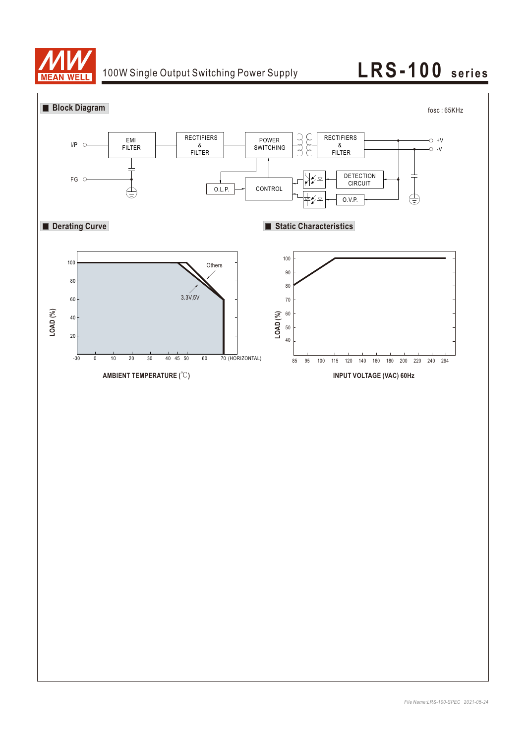

## 100W Single Output Switching Power Supply **LRS-100** series